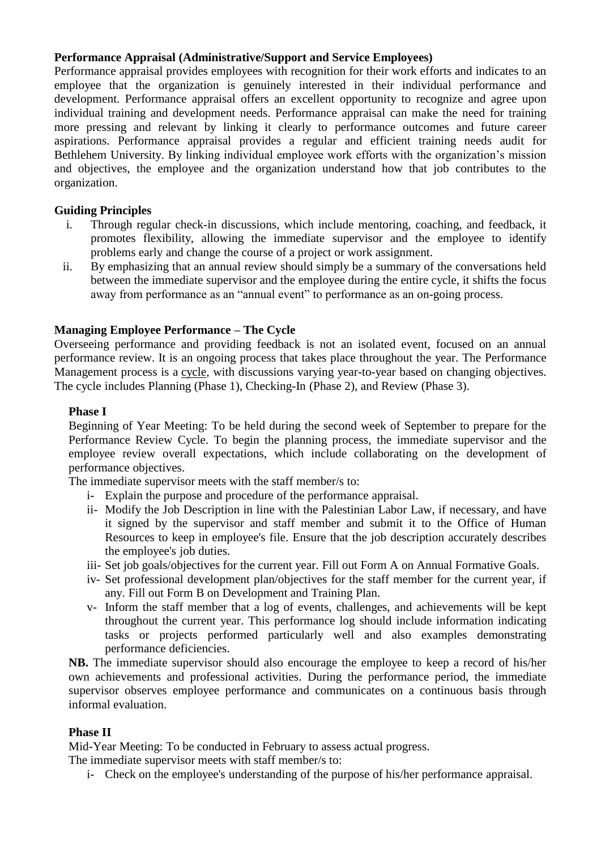# **Performance Appraisal (Administrative/Support and Service Employees)**

Performance appraisal provides employees with recognition for their work efforts and indicates to an employee that the organization is genuinely interested in their individual performance and development. Performance appraisal offers an excellent opportunity to recognize and agree upon individual training and development needs. Performance appraisal can make the need for training more pressing and relevant by linking it clearly to performance outcomes and future career aspirations. Performance appraisal provides a regular and efficient training needs audit for Bethlehem University. By linking individual employee work efforts with the organization's mission and objectives, the employee and the organization understand how that job contributes to the organization.

## **Guiding Principles**

- i. Through regular check-in discussions, which include mentoring, coaching, and feedback, it promotes flexibility, allowing the immediate supervisor and the employee to identify problems early and change the course of a project or work assignment.
- ii. By emphasizing that an annual review should simply be a summary of the conversations held between the immediate supervisor and the employee during the entire cycle, it shifts the focus away from performance as an "annual event" to performance as an on-going process.

### **Managing Employee Performance – The Cycle**

Overseeing performance and providing feedback is not an isolated event, focused on an annual performance review. It is an ongoing process that takes place throughout the year. The Performance Management process is a [cycle,](http://hrweb.berkeley.edu/performance-management/cycle) with discussions varying year-to-year based on changing objectives. The cycle includes Planning (Phase 1), Checking-In (Phase 2), and Review (Phase 3).

#### **Phase I**

Beginning of Year Meeting: To be held during the second week of September to prepare for the Performance Review Cycle. To begin the planning process, the immediate supervisor and the employee review overall expectations, which include collaborating on the development of performance objectives.

The immediate supervisor meets with the staff member/s to:

- i- Explain the purpose and procedure of the performance appraisal.
- ii- Modify the Job Description in line with the Palestinian Labor Law, if necessary, and have it signed by the supervisor and staff member and submit it to the Office of Human Resources to keep in employee's file. Ensure that the job description accurately describes the employee's job duties.
- iii- Set job goals/objectives for the current year. Fill out Form A on Annual Formative Goals.
- iv- Set professional development plan/objectives for the staff member for the current year, if any. Fill out Form B on Development and Training Plan.
- v- Inform the staff member that a log of events, challenges, and achievements will be kept throughout the current year. This performance log should include information indicating tasks or projects performed particularly well and also examples demonstrating performance deficiencies.

**NB.** The immediate supervisor should also encourage the employee to keep a record of his/her own achievements and professional activities. During the performance period, the immediate supervisor observes employee performance and communicates on a continuous basis through informal evaluation.

#### **Phase II**

Mid-Year Meeting: To be conducted in February to assess actual progress.

The immediate supervisor meets with staff member/s to:

i- Check on the employee's understanding of the purpose of his/her performance appraisal.